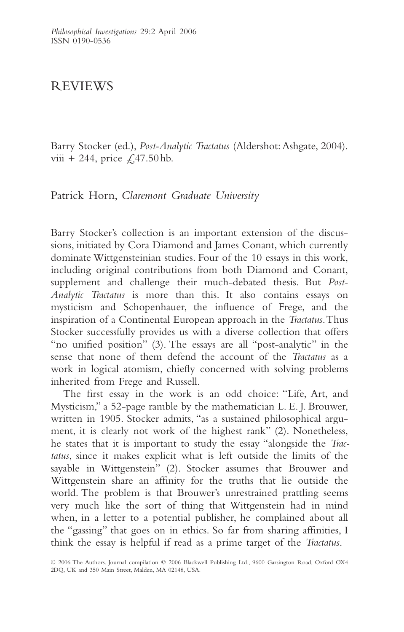## REVIEWS

Barry Stocker (ed.), *Post-Analytic Tractatus* (Aldershot: Ashgate, 2004). viii + 244, price  $\angle$  47.50 hb.

Patrick Horn, *Claremont Graduate University*

Barry Stocker's collection is an important extension of the discussions, initiated by Cora Diamond and James Conant, which currently dominate Wittgensteinian studies. Four of the 10 essays in this work, including original contributions from both Diamond and Conant, supplement and challenge their much-debated thesis. But *Post-Analytic Tractatus* is more than this. It also contains essays on mysticism and Schopenhauer, the influence of Frege, and the inspiration of a Continental European approach in the *Tractatus*.Thus Stocker successfully provides us with a diverse collection that offers "no unified position" (3). The essays are all "post-analytic" in the sense that none of them defend the account of the *Tractatus* as a work in logical atomism, chiefly concerned with solving problems inherited from Frege and Russell.

The first essay in the work is an odd choice: "Life, Art, and Mysticism," a 52-page ramble by the mathematician L. E. J. Brouwer, written in 1905. Stocker admits, "as a sustained philosophical argument, it is clearly not work of the highest rank" (2). Nonetheless, he states that it is important to study the essay "alongside the *Tractatus*, since it makes explicit what is left outside the limits of the sayable in Wittgenstein" (2). Stocker assumes that Brouwer and Wittgenstein share an affinity for the truths that lie outside the world. The problem is that Brouwer's unrestrained prattling seems very much like the sort of thing that Wittgenstein had in mind when, in a letter to a potential publisher, he complained about all the "gassing" that goes on in ethics. So far from sharing affinities, I think the essay is helpful if read as a prime target of the *Tractatus*.

<sup>© 2006</sup> The Authors. Journal compilation © 2006 Blackwell Publishing Ltd., 9600 Garsington Road, Oxford OX4 2DQ, UK and 350 Main Street, Malden, MA 02148, USA.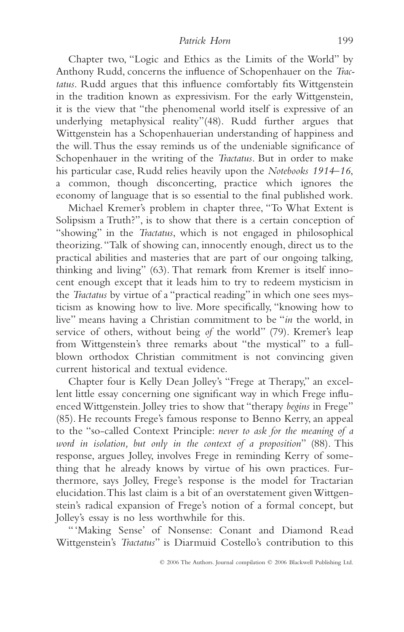Chapter two, "Logic and Ethics as the Limits of the World" by Anthony Rudd, concerns the influence of Schopenhauer on the *Tractatus*. Rudd argues that this influence comfortably fits Wittgenstein in the tradition known as expressivism. For the early Wittgenstein, it is the view that "the phenomenal world itself is expressive of an underlying metaphysical reality"(48). Rudd further argues that Wittgenstein has a Schopenhauerian understanding of happiness and the will.Thus the essay reminds us of the undeniable significance of Schopenhauer in the writing of the *Tractatus*. But in order to make his particular case, Rudd relies heavily upon the *Notebooks 1914–16*, a common, though disconcerting, practice which ignores the economy of language that is so essential to the final published work.

Michael Kremer's problem in chapter three, "To What Extent is Solipsism a Truth?", is to show that there is a certain conception of "showing" in the *Tractatus*, which is not engaged in philosophical theorizing."Talk of showing can, innocently enough, direct us to the practical abilities and masteries that are part of our ongoing talking, thinking and living" (63). That remark from Kremer is itself innocent enough except that it leads him to try to redeem mysticism in the *Tractatus* by virtue of a "practical reading" in which one sees mysticism as knowing how to live. More specifically, "knowing how to live" means having a Christian commitment to be "*in* the world, in service of others, without being *of* the world" (79). Kremer's leap from Wittgenstein's three remarks about "the mystical" to a fullblown orthodox Christian commitment is not convincing given current historical and textual evidence.

Chapter four is Kelly Dean Jolley's "Frege at Therapy," an excellent little essay concerning one significant way in which Frege influenced Wittgenstein. Jolley tries to show that "therapy *begins* in Frege" (85). He recounts Frege's famous response to Benno Kerry, an appeal to the "so-called Context Principle: *never to ask for the meaning of a word in isolation, but only in the context of a proposition*" (88). This response, argues Jolley, involves Frege in reminding Kerry of something that he already knows by virtue of his own practices. Furthermore, says Jolley, Frege's response is the model for Tractarian elucidation.This last claim is a bit of an overstatement given Wittgenstein's radical expansion of Frege's notion of a formal concept, but Jolley's essay is no less worthwhile for this.

" 'Making Sense' of Nonsense: Conant and Diamond Read Wittgenstein's *Tractatus*" is Diarmuid Costello's contribution to this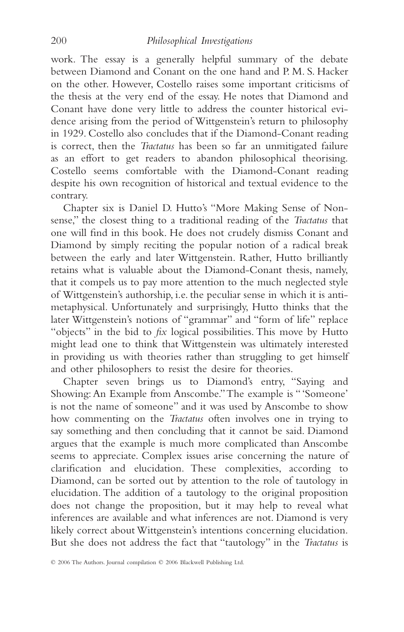work. The essay is a generally helpful summary of the debate between Diamond and Conant on the one hand and P. M. S. Hacker on the other. However, Costello raises some important criticisms of the thesis at the very end of the essay. He notes that Diamond and Conant have done very little to address the counter historical evidence arising from the period of Wittgenstein's return to philosophy in 1929. Costello also concludes that if the Diamond-Conant reading is correct, then the *Tractatus* has been so far an unmitigated failure as an effort to get readers to abandon philosophical theorising. Costello seems comfortable with the Diamond-Conant reading despite his own recognition of historical and textual evidence to the contrary.

Chapter six is Daniel D. Hutto's "More Making Sense of Nonsense," the closest thing to a traditional reading of the *Tractatus* that one will find in this book. He does not crudely dismiss Conant and Diamond by simply reciting the popular notion of a radical break between the early and later Wittgenstein. Rather, Hutto brilliantly retains what is valuable about the Diamond-Conant thesis, namely, that it compels us to pay more attention to the much neglected style of Wittgenstein's authorship, i.e. the peculiar sense in which it is antimetaphysical. Unfortunately and surprisingly, Hutto thinks that the later Wittgenstein's notions of "grammar" and "form of life" replace "objects" in the bid to *fix* logical possibilities. This move by Hutto might lead one to think that Wittgenstein was ultimately interested in providing us with theories rather than struggling to get himself and other philosophers to resist the desire for theories.

Chapter seven brings us to Diamond's entry, "Saying and Showing: An Example from Anscombe."The example is "'Someone' is not the name of someone" and it was used by Anscombe to show how commenting on the *Tractatus* often involves one in trying to say something and then concluding that it cannot be said. Diamond argues that the example is much more complicated than Anscombe seems to appreciate. Complex issues arise concerning the nature of clarification and elucidation. These complexities, according to Diamond, can be sorted out by attention to the role of tautology in elucidation. The addition of a tautology to the original proposition does not change the proposition, but it may help to reveal what inferences are available and what inferences are not. Diamond is very likely correct about Wittgenstein's intentions concerning elucidation. But she does not address the fact that "tautology" in the *Tractatus* is

<sup>© 2006</sup> The Authors. Journal compilation © 2006 Blackwell Publishing Ltd.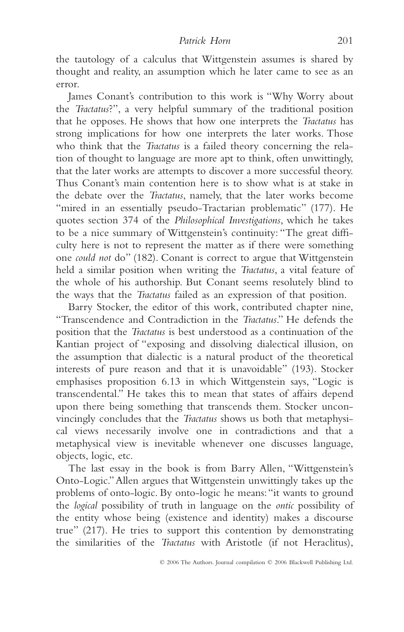the tautology of a calculus that Wittgenstein assumes is shared by thought and reality, an assumption which he later came to see as an error.

James Conant's contribution to this work is "Why Worry about the *Tractatus*?", a very helpful summary of the traditional position that he opposes. He shows that how one interprets the *Tractatus* has strong implications for how one interprets the later works. Those who think that the *Tractatus* is a failed theory concerning the relation of thought to language are more apt to think, often unwittingly, that the later works are attempts to discover a more successful theory. Thus Conant's main contention here is to show what is at stake in the debate over the *Tractatus*, namely, that the later works become "mired in an essentially pseudo-Tractarian problematic" (177). He quotes section 374 of the *Philosophical Investigations*, which he takes to be a nice summary of Wittgenstein's continuity: "The great difficulty here is not to represent the matter as if there were something one *could not* do" (182). Conant is correct to argue that Wittgenstein held a similar position when writing the *Tractatus*, a vital feature of the whole of his authorship. But Conant seems resolutely blind to the ways that the *Tractatus* failed as an expression of that position.

Barry Stocker, the editor of this work, contributed chapter nine, "Transcendence and Contradiction in the *Tractatus*." He defends the position that the *Tractatus* is best understood as a continuation of the Kantian project of "exposing and dissolving dialectical illusion, on the assumption that dialectic is a natural product of the theoretical interests of pure reason and that it is unavoidable" (193). Stocker emphasises proposition 6.13 in which Wittgenstein says, "Logic is transcendental." He takes this to mean that states of affairs depend upon there being something that transcends them. Stocker unconvincingly concludes that the *Tractatus* shows us both that metaphysical views necessarily involve one in contradictions and that a metaphysical view is inevitable whenever one discusses language, objects, logic, etc.

The last essay in the book is from Barry Allen, "Wittgenstein's Onto-Logic."Allen argues that Wittgenstein unwittingly takes up the problems of onto-logic. By onto-logic he means:"it wants to ground the *logical* possibility of truth in language on the *ontic* possibility of the entity whose being (existence and identity) makes a discourse true" (217). He tries to support this contention by demonstrating the similarities of the *Tractatus* with Aristotle (if not Heraclitus),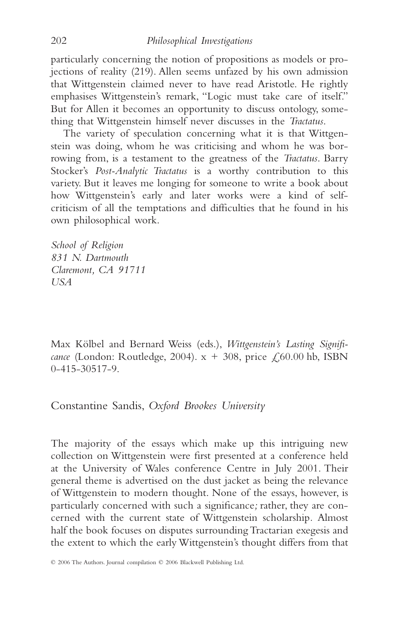particularly concerning the notion of propositions as models or projections of reality (219). Allen seems unfazed by his own admission that Wittgenstein claimed never to have read Aristotle. He rightly emphasises Wittgenstein's remark, "Logic must take care of itself." But for Allen it becomes an opportunity to discuss ontology, something that Wittgenstein himself never discusses in the *Tractatus*.

The variety of speculation concerning what it is that Wittgenstein was doing, whom he was criticising and whom he was borrowing from, is a testament to the greatness of the *Tractatus*. Barry Stocker's *Post-Analytic Tractatus* is a worthy contribution to this variety. But it leaves me longing for someone to write a book about how Wittgenstein's early and later works were a kind of selfcriticism of all the temptations and difficulties that he found in his own philosophical work.

*School of Religion 831 N. Dartmouth Claremont, CA 91711 USA*

Max Kölbel and Bernard Weiss (eds.), *Wittgenstein's Lasting Significance* (London: Routledge, 2004).  $x + 308$ , price  $\angle 60.00$  hb, ISBN 0-415-30517-9.

Constantine Sandis, *Oxford Brookes University*

The majority of the essays which make up this intriguing new collection on Wittgenstein were first presented at a conference held at the University of Wales conference Centre in July 2001. Their general theme is advertised on the dust jacket as being the relevance of Wittgenstein to modern thought. None of the essays, however, is particularly concerned with such a significance*;* rather, they are concerned with the current state of Wittgenstein scholarship*.* Almost half the book focuses on disputes surrounding Tractarian exegesis and the extent to which the early Wittgenstein's thought differs from that

<sup>© 2006</sup> The Authors. Journal compilation © 2006 Blackwell Publishing Ltd.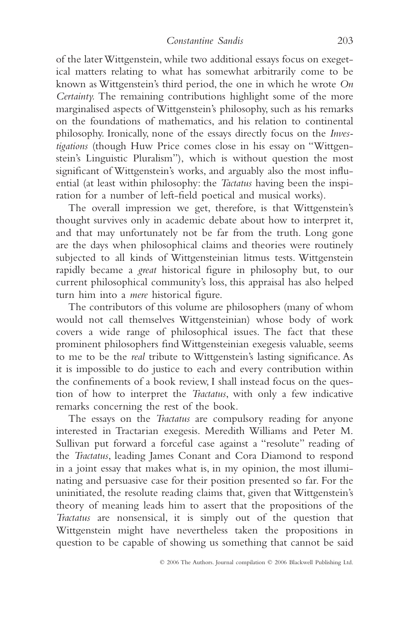of the later Wittgenstein, while two additional essays focus on exegetical matters relating to what has somewhat arbitrarily come to be known as Wittgenstein's third period, the one in which he wrote *On Certainty.* The remaining contributions highlight some of the more marginalised aspects of Wittgenstein's philosophy, such as his remarks on the foundations of mathematics, and his relation to continental philosophy. Ironically, none of the essays directly focus on the *Investigations* (though Huw Price comes close in his essay on "Wittgenstein's Linguistic Pluralism"), which is without question the most significant of Wittgenstein's works, and arguably also the most influential (at least within philosophy: the *Tactatus* having been the inspiration for a number of left-field poetical and musical works).

The overall impression we get, therefore, is that Wittgenstein's thought survives only in academic debate about how to interpret it, and that may unfortunately not be far from the truth. Long gone are the days when philosophical claims and theories were routinely subjected to all kinds of Wittgensteinian litmus tests. Wittgenstein rapidly became a *great* historical figure in philosophy but, to our current philosophical community's loss, this appraisal has also helped turn him into a *mere* historical figure.

The contributors of this volume are philosophers (many of whom would not call themselves Wittgensteinian) whose body of work covers a wide range of philosophical issues. The fact that these prominent philosophers find Wittgensteinian exegesis valuable, seems to me to be the *real* tribute to Wittgenstein's lasting significance. As it is impossible to do justice to each and every contribution within the confinements of a book review, I shall instead focus on the question of how to interpret the *Tractatus*, with only a few indicative remarks concerning the rest of the book.

The essays on the *Tractatus* are compulsory reading for anyone interested in Tractarian exegesis. Meredith Williams and Peter M. Sullivan put forward a forceful case against a "resolute" reading of the *Tractatus*, leading James Conant and Cora Diamond to respond in a joint essay that makes what is, in my opinion, the most illuminating and persuasive case for their position presented so far. For the uninitiated, the resolute reading claims that, given that Wittgenstein's theory of meaning leads him to assert that the propositions of the *Tractatus* are nonsensical, it is simply out of the question that Wittgenstein might have nevertheless taken the propositions in question to be capable of showing us something that cannot be said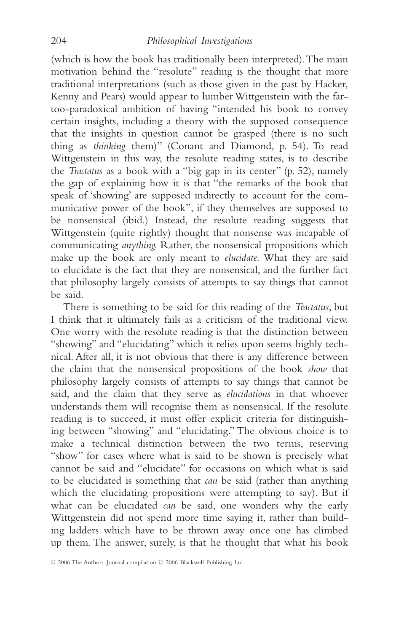(which is how the book has traditionally been interpreted).The main motivation behind the "resolute" reading is the thought that more traditional interpretations (such as those given in the past by Hacker, Kenny and Pears) would appear to lumber Wittgenstein with the fartoo-paradoxical ambition of having "intended his book to convey certain insights, including a theory with the supposed consequence that the insights in question cannot be grasped (there is no such thing as *thinking* them)" (Conant and Diamond, p. 54). To read Wittgenstein in this way, the resolute reading states, is to describe the *Tractatus* as a book with a "big gap in its center" (p. 52), namely the gap of explaining how it is that "the remarks of the book that speak of 'showing' are supposed indirectly to account for the communicative power of the book", if they themselves are supposed to be nonsensical (ibid.) Instead, the resolute reading suggests that Wittgenstein (quite rightly) thought that nonsense was incapable of communicating *anything.* Rather, the nonsensical propositions which make up the book are only meant to *elucidate.* What they are said to elucidate is the fact that they are nonsensical, and the further fact that philosophy largely consists of attempts to say things that cannot be said.

There is something to be said for this reading of the *Tractatus*, but I think that it ultimately fails as a criticism of the traditional view. One worry with the resolute reading is that the distinction between "showing" and "elucidating" which it relies upon seems highly technical. After all, it is not obvious that there is any difference between the claim that the nonsensical propositions of the book *show* that philosophy largely consists of attempts to say things that cannot be said, and the claim that they serve as *elucidations* in that whoever understands them will recognise them as nonsensical. If the resolute reading is to succeed, it must offer explicit criteria for distinguishing between "showing" and "elucidating." The obvious choice is to make a technical distinction between the two terms, reserving "show" for cases where what is said to be shown is precisely what cannot be said and "elucidate" for occasions on which what is said to be elucidated is something that *can* be said (rather than anything which the elucidating propositions were attempting to say). But if what can be elucidated *can* be said, one wonders why the early Wittgenstein did not spend more time saying it, rather than building ladders which have to be thrown away once one has climbed up them. The answer, surely, is that he thought that what his book

<sup>© 2006</sup> The Authors. Journal compilation © 2006 Blackwell Publishing Ltd.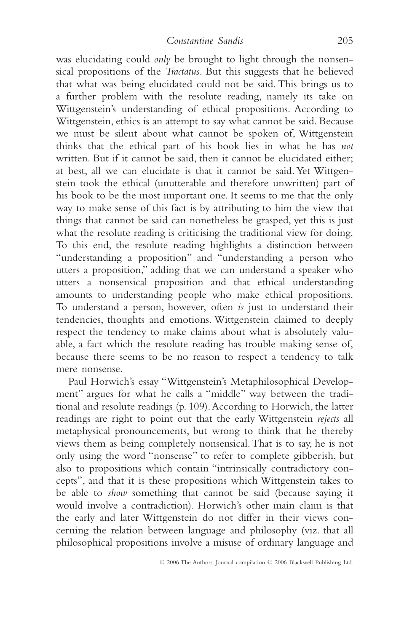was elucidating could *only* be brought to light through the nonsensical propositions of the *Tractatus*. But this suggests that he believed that what was being elucidated could not be said. This brings us to a further problem with the resolute reading, namely its take on Wittgenstein's understanding of ethical propositions. According to Wittgenstein, ethics is an attempt to say what cannot be said. Because we must be silent about what cannot be spoken of, Wittgenstein thinks that the ethical part of his book lies in what he has *not* written. But if it cannot be said, then it cannot be elucidated either; at best, all we can elucidate is that it cannot be said. Yet Wittgenstein took the ethical (unutterable and therefore unwritten) part of his book to be the most important one. It seems to me that the only way to make sense of this fact is by attributing to him the view that things that cannot be said can nonetheless be grasped, yet this is just what the resolute reading is criticising the traditional view for doing. To this end, the resolute reading highlights a distinction between "understanding a proposition" and "understanding a person who utters a proposition," adding that we can understand a speaker who utters a nonsensical proposition and that ethical understanding amounts to understanding people who make ethical propositions. To understand a person, however, often *is* just to understand their tendencies, thoughts and emotions. Wittgenstein claimed to deeply respect the tendency to make claims about what is absolutely valuable, a fact which the resolute reading has trouble making sense of, because there seems to be no reason to respect a tendency to talk mere nonsense.

Paul Horwich's essay "Wittgenstein's Metaphilosophical Development" argues for what he calls a "middle" way between the traditional and resolute readings (p. 109).According to Horwich, the latter readings are right to point out that the early Wittgenstein *rejects* all metaphysical pronouncements, but wrong to think that he thereby views them as being completely nonsensical.That is to say, he is not only using the word "nonsense" to refer to complete gibberish, but also to propositions which contain "intrinsically contradictory concepts", and that it is these propositions which Wittgenstein takes to be able to *show* something that cannot be said (because saying it would involve a contradiction). Horwich's other main claim is that the early and later Wittgenstein do not differ in their views concerning the relation between language and philosophy (viz. that all philosophical propositions involve a misuse of ordinary language and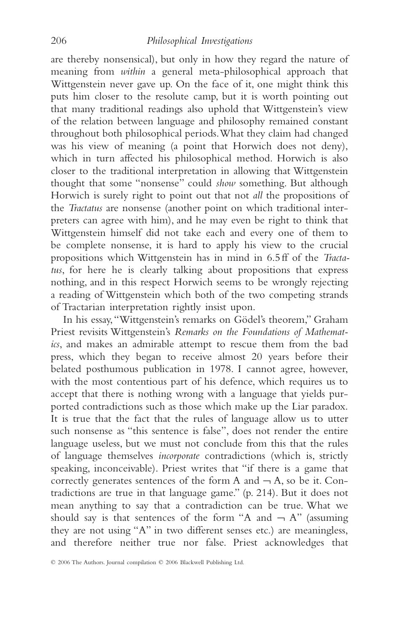are thereby nonsensical), but only in how they regard the nature of meaning from *within* a general meta-philosophical approach that Wittgenstein never gave up. On the face of it, one might think this puts him closer to the resolute camp, but it is worth pointing out that many traditional readings also uphold that Wittgenstein's view of the relation between language and philosophy remained constant throughout both philosophical periods.What they claim had changed was his view of meaning (a point that Horwich does not deny), which in turn affected his philosophical method. Horwich is also closer to the traditional interpretation in allowing that Wittgenstein thought that some "nonsense" could *show* something. But although Horwich is surely right to point out that not *all* the propositions of the *Tractatus* are nonsense (another point on which traditional interpreters can agree with him), and he may even be right to think that Wittgenstein himself did not take each and every one of them to be complete nonsense, it is hard to apply his view to the crucial propositions which Wittgenstein has in mind in 6.5ff of the *Tractatus*, for here he is clearly talking about propositions that express nothing, and in this respect Horwich seems to be wrongly rejecting a reading of Wittgenstein which both of the two competing strands of Tractarian interpretation rightly insist upon.

In his essay,"Wittgenstein's remarks on Gödel's theorem," Graham Priest revisits Wittgenstein's *Remarks on the Foundations of Mathematics*, and makes an admirable attempt to rescue them from the bad press, which they began to receive almost 20 years before their belated posthumous publication in 1978. I cannot agree, however, with the most contentious part of his defence, which requires us to accept that there is nothing wrong with a language that yields purported contradictions such as those which make up the Liar paradox. It is true that the fact that the rules of language allow us to utter such nonsense as "this sentence is false", does not render the entire language useless, but we must not conclude from this that the rules of language themselves *incorporate* contradictions (which is, strictly speaking, inconceivable). Priest writes that "if there is a game that correctly generates sentences of the form A and  $\neg A$ , so be it. Contradictions are true in that language game." (p. 214). But it does not mean anything to say that a contradiction can be true. What we should say is that sentences of the form "A and  $\neg$  A" (assuming they are not using "A" in two different senses etc.) are meaningless, and therefore neither true nor false. Priest acknowledges that

<sup>© 2006</sup> The Authors. Journal compilation © 2006 Blackwell Publishing Ltd.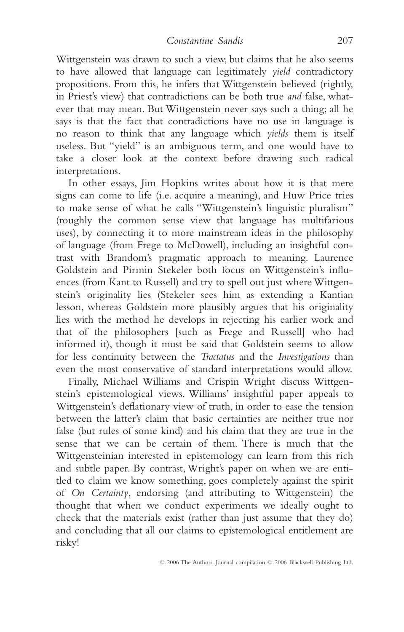Wittgenstein was drawn to such a view, but claims that he also seems to have allowed that language can legitimately *yield* contradictory propositions. From this, he infers that Wittgenstein believed (rightly, in Priest's view) that contradictions can be both true *and* false, whatever that may mean. But Wittgenstein never says such a thing; all he says is that the fact that contradictions have no use in language is no reason to think that any language which *yields* them is itself useless. But "yield" is an ambiguous term, and one would have to take a closer look at the context before drawing such radical interpretations.

In other essays, Jim Hopkins writes about how it is that mere signs can come to life (i.e. acquire a meaning), and Huw Price tries to make sense of what he calls "Wittgenstein's linguistic pluralism" (roughly the common sense view that language has multifarious uses), by connecting it to more mainstream ideas in the philosophy of language (from Frege to McDowell), including an insightful contrast with Brandom's pragmatic approach to meaning. Laurence Goldstein and Pirmin Stekeler both focus on Wittgenstein's influences (from Kant to Russell) and try to spell out just where Wittgenstein's originality lies (Stekeler sees him as extending a Kantian lesson, whereas Goldstein more plausibly argues that his originality lies with the method he develops in rejecting his earlier work and that of the philosophers [such as Frege and Russell] who had informed it), though it must be said that Goldstein seems to allow for less continuity between the *Tractatus* and the *Investigations* than even the most conservative of standard interpretations would allow.

Finally, Michael Williams and Crispin Wright discuss Wittgenstein's epistemological views. Williams' insightful paper appeals to Wittgenstein's deflationary view of truth, in order to ease the tension between the latter's claim that basic certainties are neither true nor false (but rules of some kind) and his claim that they are true in the sense that we can be certain of them. There is much that the Wittgensteinian interested in epistemology can learn from this rich and subtle paper. By contrast, Wright's paper on when we are entitled to claim we know something, goes completely against the spirit of *On Certainty*, endorsing (and attributing to Wittgenstein) the thought that when we conduct experiments we ideally ought to check that the materials exist (rather than just assume that they do) and concluding that all our claims to epistemological entitlement are risky!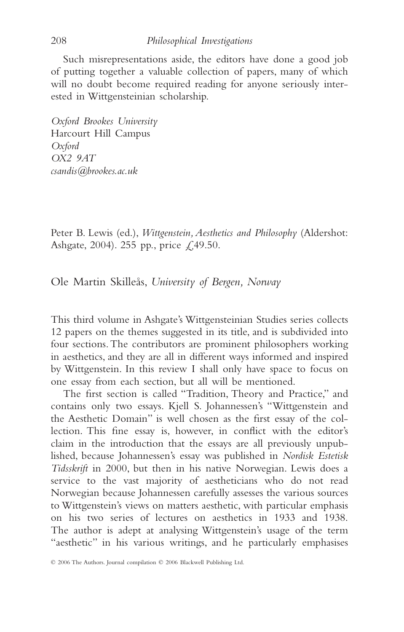Such misrepresentations aside, the editors have done a good job of putting together a valuable collection of papers, many of which will no doubt become required reading for anyone seriously interested in Wittgensteinian scholarship.

*Oxford Brookes University* Harcourt Hill Campus *Oxford OX2 9AT csandis@brookes.ac.uk*

Peter B. Lewis (ed.), *Wittgenstein, Aesthetics and Philosophy* (Aldershot: Ashgate, 2004). 255 pp., price £,49.50.

Ole Martin Skilleås, *University of Bergen, Norway*

This third volume in Ashgate's Wittgensteinian Studies series collects 12 papers on the themes suggested in its title, and is subdivided into four sections. The contributors are prominent philosophers working in aesthetics, and they are all in different ways informed and inspired by Wittgenstein. In this review I shall only have space to focus on one essay from each section, but all will be mentioned.

The first section is called "Tradition, Theory and Practice," and contains only two essays. Kjell S. Johannessen's "Wittgenstein and the Aesthetic Domain" is well chosen as the first essay of the collection. This fine essay is, however, in conflict with the editor's claim in the introduction that the essays are all previously unpublished, because Johannessen's essay was published in *Nordisk Estetisk Tidsskrift* in 2000, but then in his native Norwegian. Lewis does a service to the vast majority of aestheticians who do not read Norwegian because Johannessen carefully assesses the various sources to Wittgenstein's views on matters aesthetic, with particular emphasis on his two series of lectures on aesthetics in 1933 and 1938. The author is adept at analysing Wittgenstein's usage of the term "aesthetic" in his various writings, and he particularly emphasises

<sup>© 2006</sup> The Authors. Journal compilation © 2006 Blackwell Publishing Ltd.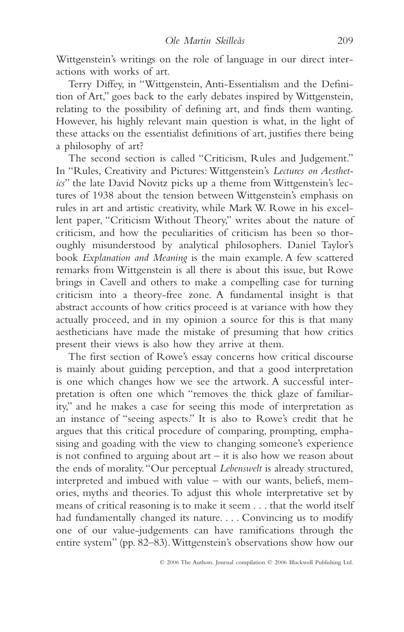Wittgenstein's writings on the role of language in our direct interactions with works of art.

Terry Diffey, in "Wittgenstein, Anti-Essentialism and the Definition of Art," goes back to the early debates inspired by Wittgenstein, relating to the possibility of defining art, and finds them wanting. However, his highly relevant main question is what, in the light of these attacks on the essentialist definitions of art, justifies there being a philosophy of art?

The second section is called "Criticism, Rules and Judgement." In "Rules, Creativity and Pictures: Wittgenstein's *Lectures on Aesthetics*" the late David Novitz picks up a theme from Wittgenstein's lectures of 1938 about the tension between Wittgenstein's emphasis on rules in art and artistic creativity, while Mark W. Rowe in his excellent paper, "Criticism Without Theory," writes about the nature of criticism, and how the peculiarities of criticism has been so thoroughly misunderstood by analytical philosophers. Daniel Taylor's book *Explanation and Meaning* is the main example. A few scattered remarks from Wittgenstein is all there is about this issue, but Rowe brings in Cavell and others to make a compelling case for turning criticism into a theory-free zone. A fundamental insight is that abstract accounts of how critics proceed is at variance with how they actually proceed, and in my opinion a source for this is that many aestheticians have made the mistake of presuming that how critics present their views is also how they arrive at them.

The first section of Rowe's essay concerns how critical discourse is mainly about guiding perception, and that a good interpretation is one which changes how we see the artwork. A successful interpretation is often one which "removes the thick glaze of familiarity," and he makes a case for seeing this mode of interpretation as an instance of "seeing aspects." It is also to Rowe's credit that he argues that this critical procedure of comparing, prompting, emphasising and goading with the view to changing someone's experience is not confined to arguing about  $art - it$  is also how we reason about the ends of morality."Our perceptual *Lebenswelt* is already structured, interpreted and imbued with value – with our wants, beliefs, memories, myths and theories. To adjust this whole interpretative set by means of critical reasoning is to make it seem ... that the world itself had fundamentally changed its nature. . . . Convincing us to modify one of our value-judgements can have ramifications through the entire system" (pp. 82–83).Wittgenstein's observations show how our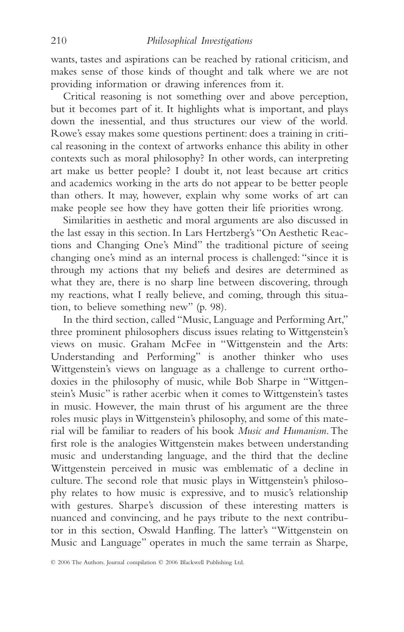wants, tastes and aspirations can be reached by rational criticism, and makes sense of those kinds of thought and talk where we are not providing information or drawing inferences from it.

Critical reasoning is not something over and above perception, but it becomes part of it. It highlights what is important, and plays down the inessential, and thus structures our view of the world. Rowe's essay makes some questions pertinent: does a training in critical reasoning in the context of artworks enhance this ability in other contexts such as moral philosophy? In other words, can interpreting art make us better people? I doubt it, not least because art critics and academics working in the arts do not appear to be better people than others. It may, however, explain why some works of art can make people see how they have gotten their life priorities wrong.

Similarities in aesthetic and moral arguments are also discussed in the last essay in this section. In Lars Hertzberg's "On Aesthetic Reactions and Changing One's Mind" the traditional picture of seeing changing one's mind as an internal process is challenged: "since it is through my actions that my beliefs and desires are determined as what they are, there is no sharp line between discovering, through my reactions, what I really believe, and coming, through this situation, to believe something new" (p. 98).

In the third section, called "Music, Language and Performing Art," three prominent philosophers discuss issues relating to Wittgenstein's views on music. Graham McFee in "Wittgenstein and the Arts: Understanding and Performing" is another thinker who uses Wittgenstein's views on language as a challenge to current orthodoxies in the philosophy of music, while Bob Sharpe in "Wittgenstein's Music" is rather acerbic when it comes to Wittgenstein's tastes in music. However, the main thrust of his argument are the three roles music plays in Wittgenstein's philosophy, and some of this material will be familiar to readers of his book *Music and Humanism*.The first role is the analogies Wittgenstein makes between understanding music and understanding language, and the third that the decline Wittgenstein perceived in music was emblematic of a decline in culture. The second role that music plays in Wittgenstein's philosophy relates to how music is expressive, and to music's relationship with gestures. Sharpe's discussion of these interesting matters is nuanced and convincing, and he pays tribute to the next contributor in this section, Oswald Hanfling. The latter's "Wittgenstein on Music and Language" operates in much the same terrain as Sharpe,

<sup>© 2006</sup> The Authors. Journal compilation © 2006 Blackwell Publishing Ltd.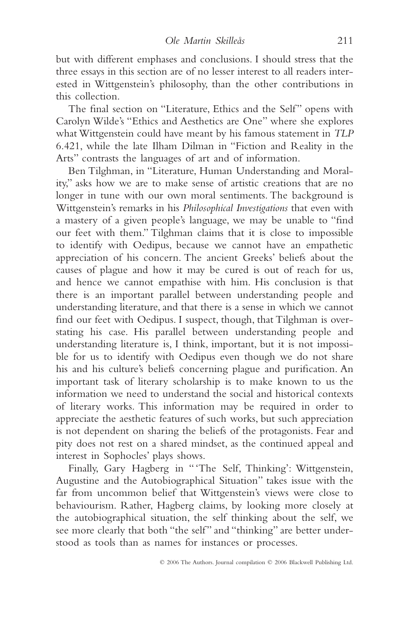but with different emphases and conclusions. I should stress that the three essays in this section are of no lesser interest to all readers interested in Wittgenstein's philosophy, than the other contributions in this collection.

The final section on "Literature, Ethics and the Self" opens with Carolyn Wilde's "Ethics and Aesthetics are One" where she explores what Wittgenstein could have meant by his famous statement in *TLP* 6.421, while the late Ilham Dilman in "Fiction and Reality in the Arts" contrasts the languages of art and of information.

Ben Tilghman, in "Literature, Human Understanding and Morality," asks how we are to make sense of artistic creations that are no longer in tune with our own moral sentiments. The background is Wittgenstein's remarks in his *Philosophical Investigations* that even with a mastery of a given people's language, we may be unable to "find our feet with them." Tilghman claims that it is close to impossible to identify with Oedipus, because we cannot have an empathetic appreciation of his concern. The ancient Greeks' beliefs about the causes of plague and how it may be cured is out of reach for us, and hence we cannot empathise with him. His conclusion is that there is an important parallel between understanding people and understanding literature, and that there is a sense in which we cannot find our feet with Oedipus. I suspect, though, that Tilghman is overstating his case. His parallel between understanding people and understanding literature is, I think, important, but it is not impossible for us to identify with Oedipus even though we do not share his and his culture's beliefs concerning plague and purification. An important task of literary scholarship is to make known to us the information we need to understand the social and historical contexts of literary works. This information may be required in order to appreciate the aesthetic features of such works, but such appreciation is not dependent on sharing the beliefs of the protagonists. Fear and pity does not rest on a shared mindset, as the continued appeal and interest in Sophocles' plays shows.

Finally, Gary Hagberg in "'The Self, Thinking': Wittgenstein, Augustine and the Autobiographical Situation" takes issue with the far from uncommon belief that Wittgenstein's views were close to behaviourism. Rather, Hagberg claims, by looking more closely at the autobiographical situation, the self thinking about the self, we see more clearly that both "the self" and "thinking" are better understood as tools than as names for instances or processes.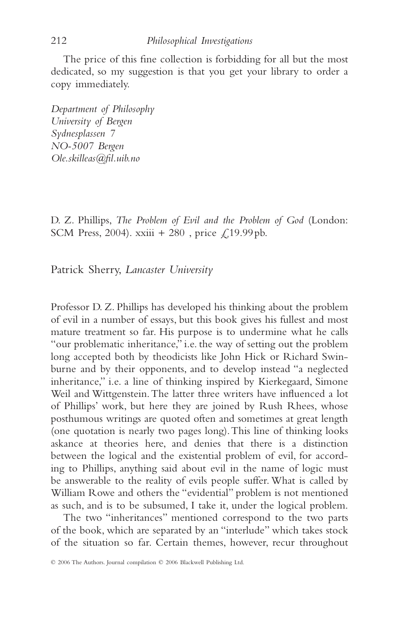The price of this fine collection is forbidding for all but the most dedicated, so my suggestion is that you get your library to order a copy immediately.

*Department of Philosophy University of Bergen Sydnesplassen 7 NO-5007 Bergen Ole.skilleas@fil.uib.no*

D. Z. Phillips, *The Problem of Evil and the Problem of God* (London: SCM Press, 2004). xxiii + 280, price  $\mathcal{L}$ , 19.99 pb.

Patrick Sherry, *Lancaster University*

Professor D. Z. Phillips has developed his thinking about the problem of evil in a number of essays, but this book gives his fullest and most mature treatment so far. His purpose is to undermine what he calls "our problematic inheritance," i.e. the way of setting out the problem long accepted both by theodicists like John Hick or Richard Swinburne and by their opponents, and to develop instead "a neglected inheritance," i.e. a line of thinking inspired by Kierkegaard, Simone Weil and Wittgenstein.The latter three writers have influenced a lot of Phillips' work, but here they are joined by Rush Rhees, whose posthumous writings are quoted often and sometimes at great length (one quotation is nearly two pages long).This line of thinking looks askance at theories here, and denies that there is a distinction between the logical and the existential problem of evil, for according to Phillips, anything said about evil in the name of logic must be answerable to the reality of evils people suffer. What is called by William Rowe and others the "evidential" problem is not mentioned as such, and is to be subsumed, I take it, under the logical problem.

The two "inheritances" mentioned correspond to the two parts of the book, which are separated by an "interlude" which takes stock of the situation so far. Certain themes, however, recur throughout

<sup>© 2006</sup> The Authors. Journal compilation © 2006 Blackwell Publishing Ltd.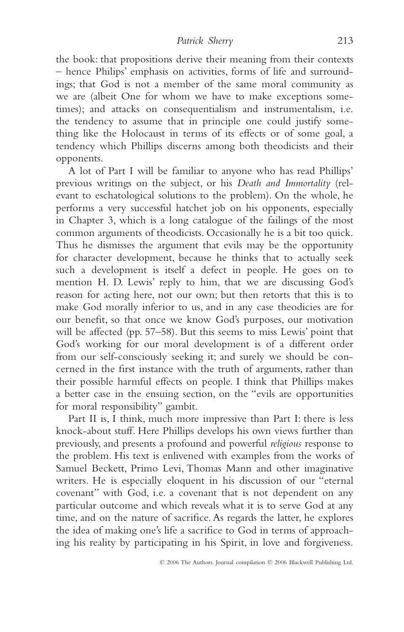the book: that propositions derive their meaning from their contexts – hence Philips' emphasis on activities, forms of life and surroundings; that God is not a member of the same moral community as we are (albeit One for whom we have to make exceptions sometimes); and attacks on consequentialism and instrumentalism, i.e. the tendency to assume that in principle one could justify something like the Holocaust in terms of its effects or of some goal, a tendency which Phillips discerns among both theodicists and their opponents.

A lot of Part I will be familiar to anyone who has read Phillips' previous writings on the subject, or his *Death and Immortality* (relevant to eschatological solutions to the problem). On the whole, he performs a very successful hatchet job on his opponents, especially in Chapter 3, which is a long catalogue of the failings of the most common arguments of theodicists. Occasionally he is a bit too quick. Thus he dismisses the argument that evils may be the opportunity for character development, because he thinks that to actually seek such a development is itself a defect in people. He goes on to mention H. D. Lewis' reply to him, that we are discussing God's reason for acting here, not our own; but then retorts that this is to make God morally inferior to us, and in any case theodicies are for our benefit, so that once we know God's purposes, our motivation will be affected (pp. 57–58). But this seems to miss Lewis' point that God's working for our moral development is of a different order from our self-consciously seeking it; and surely we should be concerned in the first instance with the truth of arguments, rather than their possible harmful effects on people. I think that Phillips makes a better case in the ensuing section, on the "evils are opportunities for moral responsibility" gambit.

Part II is, I think, much more impressive than Part I: there is less knock-about stuff. Here Phillips develops his own views further than previously, and presents a profound and powerful *religious* response to the problem. His text is enlivened with examples from the works of Samuel Beckett, Primo Levi, Thomas Mann and other imaginative writers. He is especially eloquent in his discussion of our "eternal covenant" with God, i.e. a covenant that is not dependent on any particular outcome and which reveals what it is to serve God at any time, and on the nature of sacrifice. As regards the latter, he explores the idea of making one's life a sacrifice to God in terms of approaching his reality by participating in his Spirit, in love and forgiveness.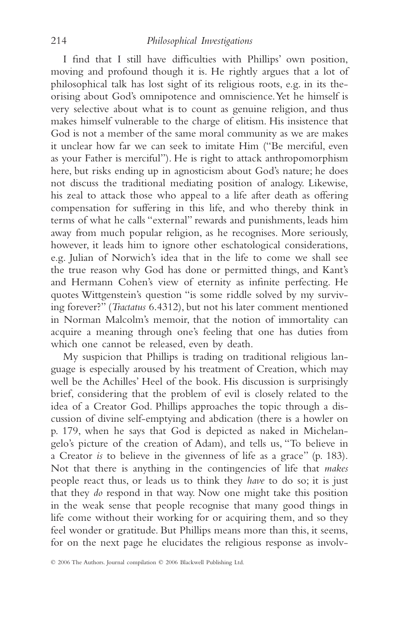I find that I still have difficulties with Phillips' own position, moving and profound though it is. He rightly argues that a lot of philosophical talk has lost sight of its religious roots, e.g. in its theorising about God's omnipotence and omniscience.Yet he himself is very selective about what is to count as genuine religion, and thus makes himself vulnerable to the charge of elitism. His insistence that God is not a member of the same moral community as we are makes it unclear how far we can seek to imitate Him ("Be merciful, even as your Father is merciful"). He is right to attack anthropomorphism here, but risks ending up in agnosticism about God's nature; he does not discuss the traditional mediating position of analogy. Likewise, his zeal to attack those who appeal to a life after death as offering compensation for suffering in this life, and who thereby think in terms of what he calls "external" rewards and punishments, leads him away from much popular religion, as he recognises. More seriously, however, it leads him to ignore other eschatological considerations, e.g. Julian of Norwich's idea that in the life to come we shall see the true reason why God has done or permitted things, and Kant's and Hermann Cohen's view of eternity as infinite perfecting. He quotes Wittgenstein's question "is some riddle solved by my surviving forever?" (*Tractatus* 6.4312), but not his later comment mentioned in Norman Malcolm's memoir, that the notion of immortality can acquire a meaning through one's feeling that one has duties from which one cannot be released, even by death.

My suspicion that Phillips is trading on traditional religious language is especially aroused by his treatment of Creation, which may well be the Achilles' Heel of the book. His discussion is surprisingly brief, considering that the problem of evil is closely related to the idea of a Creator God. Phillips approaches the topic through a discussion of divine self-emptying and abdication (there is a howler on p. 179, when he says that God is depicted as naked in Michelangelo's picture of the creation of Adam), and tells us, "To believe in a Creator *is* to believe in the givenness of life as a grace" (p. 183). Not that there is anything in the contingencies of life that *makes* people react thus, or leads us to think they *have* to do so; it is just that they *do* respond in that way. Now one might take this position in the weak sense that people recognise that many good things in life come without their working for or acquiring them, and so they feel wonder or gratitude. But Phillips means more than this, it seems, for on the next page he elucidates the religious response as involv-

<sup>© 2006</sup> The Authors. Journal compilation © 2006 Blackwell Publishing Ltd.